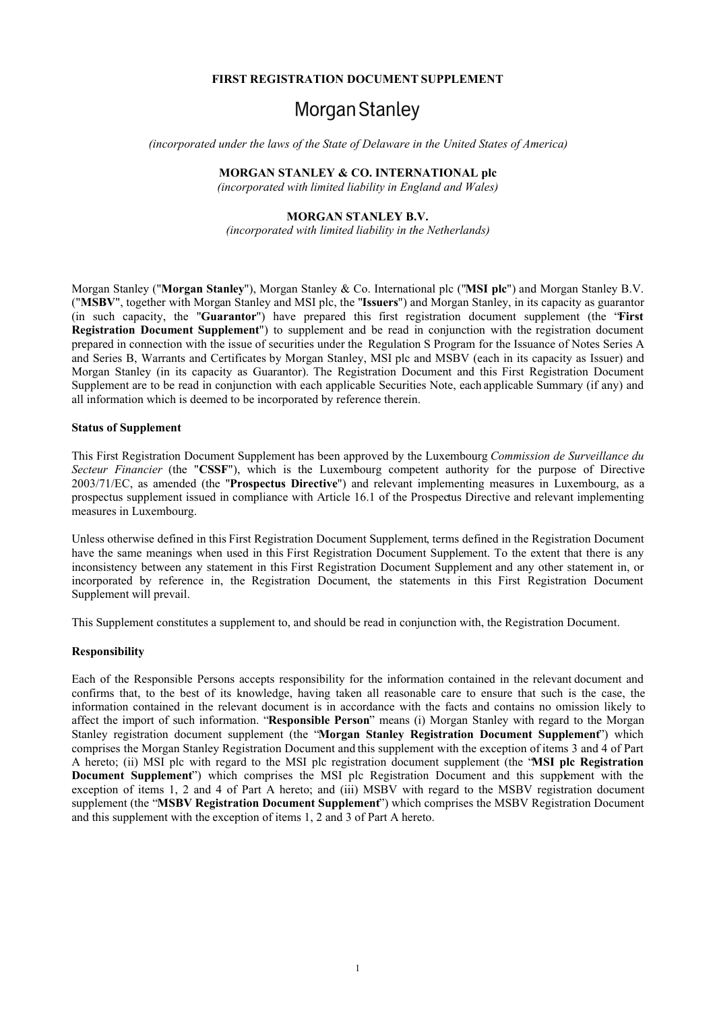### **FIRST REGISTRATION DOCUMENT SUPPLEMENT**

# Morgan Stanley

*(incorporated under the laws of the State of Delaware in the United States of America)*

#### **MORGAN STANLEY & CO. INTERNATIONAL plc**

*(incorporated with limited liability in England and Wales)*

# **MORGAN STANLEY B.V.**

*(incorporated with limited liability in the Netherlands)*

Morgan Stanley ("**Morgan Stanley**"), Morgan Stanley & Co. International plc ("**MSI plc**") and Morgan Stanley B.V. ("**MSBV**", together with Morgan Stanley and MSI plc, the "**Issuers**") and Morgan Stanley, in its capacity as guarantor (in such capacity, the "**Guarantor**") have prepared this first registration document supplement (the "**First Registration Document Supplement**") to supplement and be read in conjunction with the registration document prepared in connection with the issue of securities under the Regulation S Program for the Issuance of Notes Series A and Series B, Warrants and Certificates by Morgan Stanley, MSI plc and MSBV (each in its capacity as Issuer) and Morgan Stanley (in its capacity as Guarantor). The Registration Document and this First Registration Document Supplement are to be read in conjunction with each applicable Securities Note, each applicable Summary (if any) and all information which is deemed to be incorporated by reference therein.

#### **Status of Supplement**

This First Registration Document Supplement has been approved by the Luxembourg *Commission de Surveillance du Secteur Financier* (the "**CSSF**"), which is the Luxembourg competent authority for the purpose of Directive 2003/71/EC, as amended (the "**Prospectus Directive**") and relevant implementing measures in Luxembourg, as a prospectus supplement issued in compliance with Article 16.1 of the Prospectus Directive and relevant implementing measures in Luxembourg.

Unless otherwise defined in this First Registration Document Supplement, terms defined in the Registration Document have the same meanings when used in this First Registration Document Supplement. To the extent that there is any inconsistency between any statement in this First Registration Document Supplement and any other statement in, or incorporated by reference in, the Registration Document, the statements in this First Registration Document Supplement will prevail.

This Supplement constitutes a supplement to, and should be read in conjunction with, the Registration Document.

#### **Responsibility**

Each of the Responsible Persons accepts responsibility for the information contained in the relevant document and confirms that, to the best of its knowledge, having taken all reasonable care to ensure that such is the case, the information contained in the relevant document is in accordance with the facts and contains no omission likely to affect the import of such information. "**Responsible Person**" means (i) Morgan Stanley with regard to the Morgan Stanley registration document supplement (the "**Morgan Stanley Registration Document Supplement**") which comprises the Morgan Stanley Registration Document and this supplement with the exception of items 3 and 4 of Part A hereto; (ii) MSI plc with regard to the MSI plc registration document supplement (the "**MSI plc Registration Document Supplement**") which comprises the MSI plc Registration Document and this supplement with the exception of items 1, 2 and 4 of Part A hereto; and (iii) MSBV with regard to the MSBV registration document supplement (the "**MSBV Registration Document Supplement**") which comprises the MSBV Registration Document and this supplement with the exception of items 1, 2 and 3 of Part A hereto.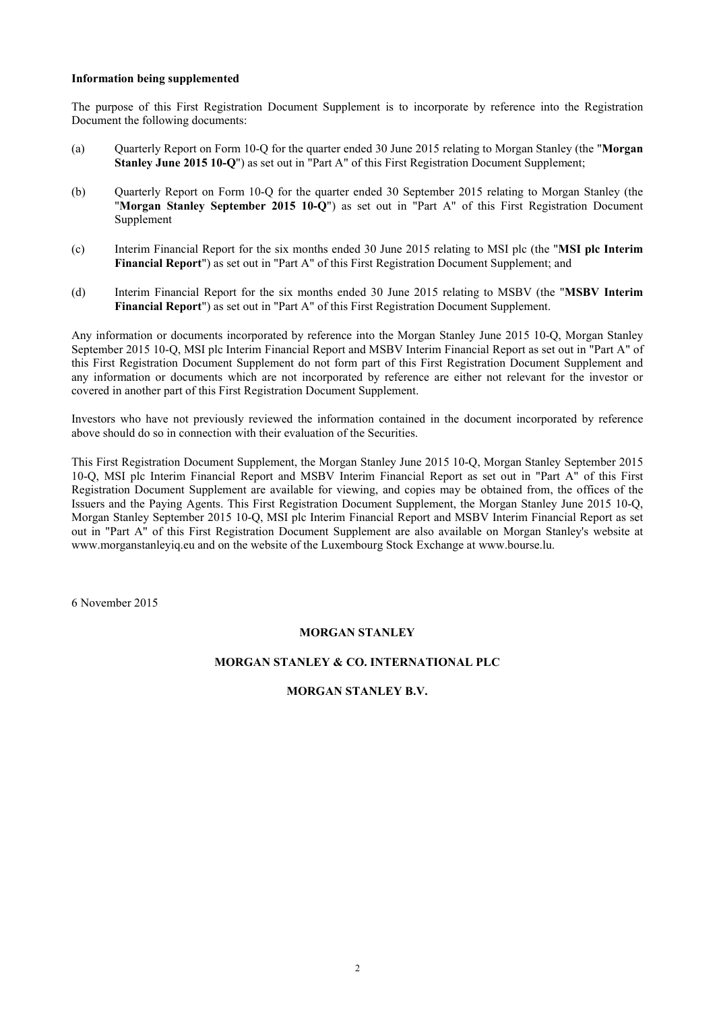#### **Information being supplemented**

The purpose of this First Registration Document Supplement is to incorporate by reference into the Registration Document the following documents:

- (a) Quarterly Report on Form 10-Q for the quarter ended 30 June 2015 relating to Morgan Stanley (the "**Morgan Stanley June 2015 10-Q**") as set out in "Part A" of this First Registration Document Supplement;
- (b) Quarterly Report on Form 10-Q for the quarter ended 30 September 2015 relating to Morgan Stanley (the "**Morgan Stanley September 2015 10-Q**") as set out in "Part A" of this First Registration Document Supplement
- (c) Interim Financial Report for the six months ended 30 June 2015 relating to MSI plc (the "**MSI plc Interim Financial Report**") as set out in "Part A" of this First Registration Document Supplement; and
- (d) Interim Financial Report for the six months ended 30 June 2015 relating to MSBV (the "**MSBV Interim Financial Report**") as set out in "Part A" of this First Registration Document Supplement.

Any information or documents incorporated by reference into the Morgan Stanley June 2015 10-Q, Morgan Stanley September 2015 10-Q, MSI plc Interim Financial Report and MSBV Interim Financial Report as set out in "Part A" of this First Registration Document Supplement do not form part of this First Registration Document Supplement and any information or documents which are not incorporated by reference are either not relevant for the investor or covered in another part of this First Registration Document Supplement.

Investors who have not previously reviewed the information contained in the document incorporated by reference above should do so in connection with their evaluation of the Securities.

This First Registration Document Supplement, the Morgan Stanley June 2015 10-Q, Morgan Stanley September 2015 10-Q, MSI plc Interim Financial Report and MSBV Interim Financial Report as set out in "Part A" of this First Registration Document Supplement are available for viewing, and copies may be obtained from, the offices of the Issuers and the Paying Agents. This First Registration Document Supplement, the Morgan Stanley June 2015 10-Q, Morgan Stanley September 2015 10-Q, MSI plc Interim Financial Report and MSBV Interim Financial Report as set out in "Part A" of this First Registration Document Supplement are also available on Morgan Stanley's website at www.morganstanleyiq.eu and on the website of the Luxembourg Stock Exchange at www.bourse.lu.

6 November 2015

# **MORGAN STANLEY**

## **MORGAN STANLEY & CO. INTERNATIONAL PLC**

## **MORGAN STANLEY B.V.**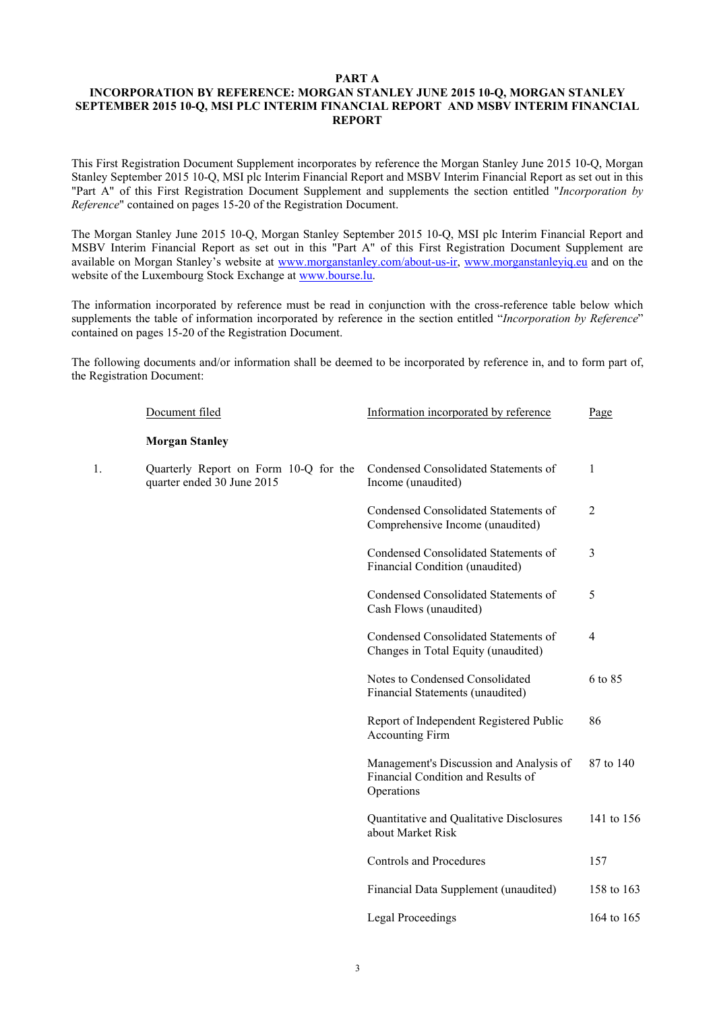## **PART A**

# **INCORPORATION BY REFERENCE: MORGAN STANLEY JUNE 2015 10-Q, MORGAN STANLEY SEPTEMBER 2015 10-Q, MSI PLC INTERIM FINANCIAL REPORT AND MSBV INTERIM FINANCIAL REPORT**

This First Registration Document Supplement incorporates by reference the Morgan Stanley June 2015 10-Q, Morgan Stanley September 2015 10-Q, MSI plc Interim Financial Report and MSBV Interim Financial Report as set out in this "Part A" of this First Registration Document Supplement and supplements the section entitled "*Incorporation by Reference*" contained on pages 15-20 of the Registration Document.

The Morgan Stanley June 2015 10-Q, Morgan Stanley September 2015 10-Q, MSI plc Interim Financial Report and MSBV Interim Financial Report as set out in this "Part A" of this First Registration Document Supplement are available on Morgan Stanley's website at www.morganstanley.com/about-us-ir, www.morganstanleyiq.eu and on the website of the Luxembourg Stock Exchange at www.bourse.lu.

The information incorporated by reference must be read in conjunction with the cross-reference table below which supplements the table of information incorporated by reference in the section entitled "*Incorporation by Reference*" contained on pages 15-20 of the Registration Document.

The following documents and/or information shall be deemed to be incorporated by reference in, and to form part of, the Registration Document:

|    | Document filed                                                      | Information incorporated by reference                                                       | Page           |
|----|---------------------------------------------------------------------|---------------------------------------------------------------------------------------------|----------------|
|    | <b>Morgan Stanley</b>                                               |                                                                                             |                |
| 1. | Quarterly Report on Form 10-Q for the<br>quarter ended 30 June 2015 | Condensed Consolidated Statements of<br>Income (unaudited)                                  | 1              |
|    |                                                                     | Condensed Consolidated Statements of<br>Comprehensive Income (unaudited)                    | $\overline{2}$ |
|    |                                                                     | Condensed Consolidated Statements of<br>Financial Condition (unaudited)                     | 3              |
|    |                                                                     | Condensed Consolidated Statements of<br>Cash Flows (unaudited)                              | 5              |
|    |                                                                     | Condensed Consolidated Statements of<br>Changes in Total Equity (unaudited)                 | $\overline{4}$ |
|    |                                                                     | Notes to Condensed Consolidated<br>Financial Statements (unaudited)                         | 6 to 85        |
|    |                                                                     | Report of Independent Registered Public<br><b>Accounting Firm</b>                           | 86             |
|    |                                                                     | Management's Discussion and Analysis of<br>Financial Condition and Results of<br>Operations | 87 to 140      |
|    |                                                                     | Quantitative and Qualitative Disclosures<br>about Market Risk                               | 141 to 156     |
|    |                                                                     | <b>Controls and Procedures</b>                                                              | 157            |
|    |                                                                     | Financial Data Supplement (unaudited)                                                       | 158 to 163     |
|    |                                                                     | Legal Proceedings                                                                           | 164 to 165     |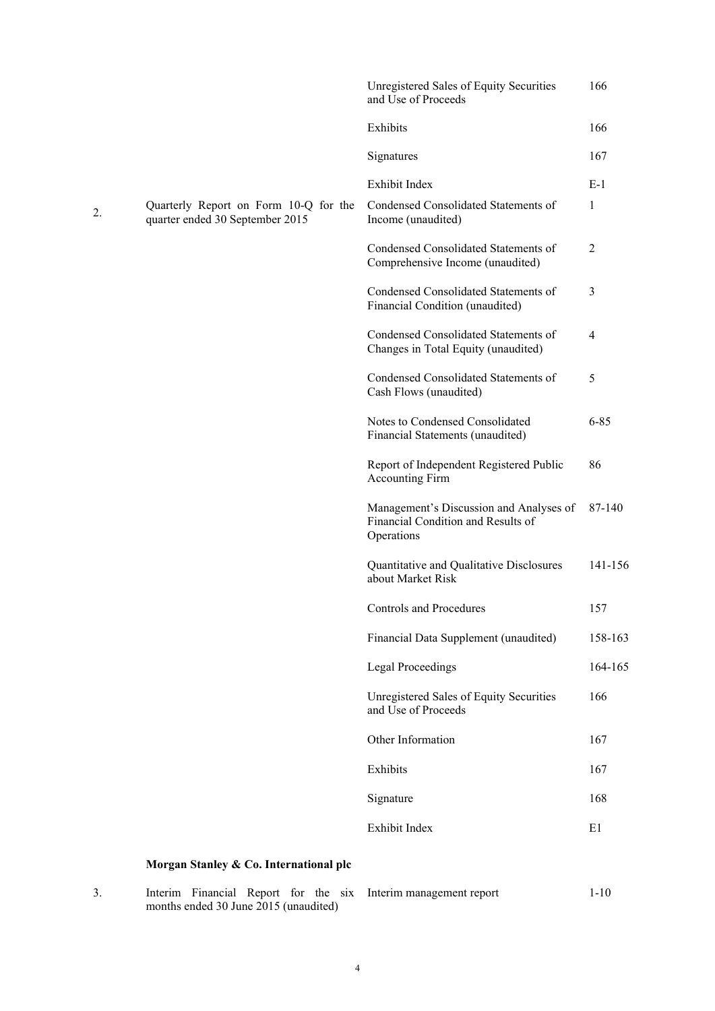|    |                                                                          | <b>Unregistered Sales of Equity Securities</b><br>and Use of Proceeds                       | 166            |
|----|--------------------------------------------------------------------------|---------------------------------------------------------------------------------------------|----------------|
|    |                                                                          | Exhibits                                                                                    | 166            |
|    |                                                                          | Signatures                                                                                  | 167            |
|    |                                                                          | Exhibit Index                                                                               | $E-1$          |
| 2. | Quarterly Report on Form 10-Q for the<br>quarter ended 30 September 2015 | Condensed Consolidated Statements of<br>Income (unaudited)                                  | $\mathbf{1}$   |
|    |                                                                          | Condensed Consolidated Statements of<br>Comprehensive Income (unaudited)                    | $\overline{2}$ |
|    |                                                                          | Condensed Consolidated Statements of<br>Financial Condition (unaudited)                     | 3              |
|    |                                                                          | Condensed Consolidated Statements of<br>Changes in Total Equity (unaudited)                 | $\overline{4}$ |
|    |                                                                          | Condensed Consolidated Statements of<br>Cash Flows (unaudited)                              | 5              |
|    |                                                                          | Notes to Condensed Consolidated<br>Financial Statements (unaudited)                         | $6 - 85$       |
|    |                                                                          | Report of Independent Registered Public<br><b>Accounting Firm</b>                           | 86             |
|    |                                                                          | Management's Discussion and Analyses of<br>Financial Condition and Results of<br>Operations | 87-140         |
|    |                                                                          | Quantitative and Qualitative Disclosures<br>about Market Risk                               | 141-156        |
|    |                                                                          | Controls and Procedures                                                                     | 157            |
|    |                                                                          | Financial Data Supplement (unaudited)                                                       | 158-163        |
|    |                                                                          | <b>Legal Proceedings</b>                                                                    | 164-165        |
|    |                                                                          | <b>Unregistered Sales of Equity Securities</b><br>and Use of Proceeds                       | 166            |
|    |                                                                          | Other Information                                                                           | 167            |
|    |                                                                          | Exhibits                                                                                    | 167            |
|    |                                                                          | Signature                                                                                   | 168            |
|    |                                                                          | Exhibit Index                                                                               | E1             |
|    | Morgan Stanley & Co. International plc                                   |                                                                                             |                |

3. Interim Financial Report for the six months ended 30 June 2015 (unaudited)

Interim management report 1-10